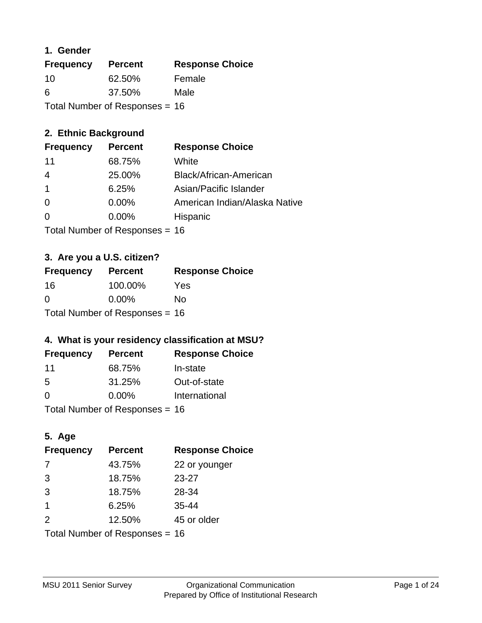### **1. Gender**

| <b>Frequency</b>                 | <b>Percent</b> | <b>Response Choice</b> |
|----------------------------------|----------------|------------------------|
| 10                               | 62.50%         | Female                 |
| 6                                | 37.50%         | Male                   |
| Total Number of Responses = $16$ |                |                        |

# **2. Ethnic Background**

| <b>Frequency</b> | <b>Percent</b> | <b>Response Choice</b>        |
|------------------|----------------|-------------------------------|
| 11               | 68.75%         | White                         |
| 4                | 25.00%         | Black/African-American        |
|                  | 6.25%          | Asian/Pacific Islander        |
| $\Omega$         | $0.00\%$       | American Indian/Alaska Native |
| $\Omega$         | $0.00\%$       | Hispanic                      |
|                  |                |                               |

Total Number of Responses = 16

### **3. Are you a U.S. citizen?**

| <b>Frequency</b>                 | <b>Percent</b> | <b>Response Choice</b> |
|----------------------------------|----------------|------------------------|
| 16                               | 100.00%        | Yes                    |
| $\Omega$                         | $0.00\%$       | Nο                     |
| Total Number of Responses = $16$ |                |                        |

# **4. What is your residency classification at MSU?**

| <b>Frequency</b> | <b>Percent</b> | <b>Response Choice</b> |
|------------------|----------------|------------------------|
| 11               | 68.75%         | In-state               |
| -5               | 31.25%         | Out-of-state           |
| $\Omega$         | $0.00\%$       | International          |
|                  |                |                        |

Total Number of Responses = 16

# **5. Age**

| <b>Frequency</b>               | <b>Percent</b> | <b>Response Choice</b> |
|--------------------------------|----------------|------------------------|
| -7                             | 43.75%         | 22 or younger          |
| 3                              | 18.75%         | $23 - 27$              |
| 3                              | 18.75%         | 28-34                  |
| $\mathbf 1$                    | 6.25%          | $35 - 44$              |
| 2                              | 12.50%         | 45 or older            |
| Total Number of Responses = 16 |                |                        |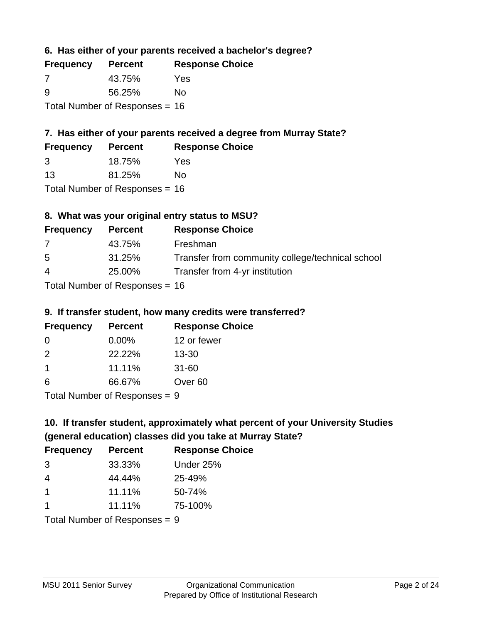**6. Has either of your parents received a bachelor's degree?**

| <b>Frequency</b>                 | <b>Percent</b> | <b>Response Choice</b> |
|----------------------------------|----------------|------------------------|
| -7                               | 43.75%         | Yes                    |
| -9                               | 56.25%         | No                     |
| Total Number of Responses = $16$ |                |                        |

# **7. Has either of your parents received a degree from Murray State?**

| <b>Frequency</b> | <b>Percent</b> | <b>Response Choice</b> |
|------------------|----------------|------------------------|
| 3                | 18.75%         | Yes                    |
| -13              | 81.25%         | No                     |

Total Number of Responses = 16

# **8. What was your original entry status to MSU?**

| <b>Frequency</b> | <b>Percent</b>            | <b>Response Choice</b>                           |
|------------------|---------------------------|--------------------------------------------------|
| 7                | 43.75%                    | Freshman                                         |
| -5               | 31.25%                    | Transfer from community college/technical school |
| $\overline{4}$   | 25.00%                    | Transfer from 4-yr institution                   |
|                  | Total Number of Despenses |                                                  |

Total Number of Responses = 16

#### **9. If transfer student, how many credits were transferred?**

| <b>Frequency</b>           | <b>Percent</b> | <b>Response Choice</b> |
|----------------------------|----------------|------------------------|
| -0                         | $0.00\%$       | 12 or fewer            |
| $\mathcal{P}$              | 22.22%         | $13 - 30$              |
| -1                         | 11.11%         | $31 - 60$              |
| 6                          | 66.67%         | Over <sub>60</sub>     |
| Tatal Number of Desperance |                |                        |

Total Number of Responses = 9

# **10. If transfer student, approximately what percent of your University Studies (general education) classes did you take at Murray State?**

| <b>Frequency</b>                | <b>Percent</b> | <b>Response Choice</b> |
|---------------------------------|----------------|------------------------|
| 3                               | 33.33%         | Under 25%              |
| 4                               | 44.44%         | 25-49%                 |
| $\overline{1}$                  | 11.11%         | 50-74%                 |
| -1                              | 11.11%         | 75-100%                |
| Total Number of Poenonces $= 0$ |                |                        |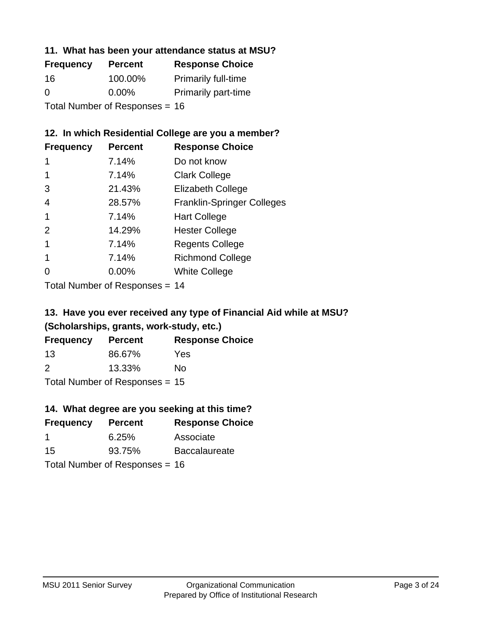#### **11. What has been your attendance status at MSU?**

| <b>Frequency</b>                 | <b>Percent</b> | <b>Response Choice</b>     |
|----------------------------------|----------------|----------------------------|
| 16                               | 100.00%        | <b>Primarily full-time</b> |
| 0                                | $0.00\%$       | <b>Primarily part-time</b> |
| Total Number of Responses = $16$ |                |                            |

# **12. In which Residential College are you a member?**

| <b>Frequency</b> | <b>Percent</b> | <b>Response Choice</b>            |
|------------------|----------------|-----------------------------------|
| 1                | 7.14%          | Do not know                       |
|                  | 7.14%          | <b>Clark College</b>              |
| 3                | 21.43%         | <b>Elizabeth College</b>          |
| 4                | 28.57%         | <b>Franklin-Springer Colleges</b> |
|                  | 7.14%          | <b>Hart College</b>               |
| $\mathcal{P}$    | 14.29%         | <b>Hester College</b>             |
|                  | 7.14%          | <b>Regents College</b>            |
|                  | 7.14%          | <b>Richmond College</b>           |
| ∩                | 0.00%          | <b>White College</b>              |

Total Number of Responses = 14

# **13. Have you ever received any type of Financial Aid while at MSU? (Scholarships, grants, work-study, etc.)**

| <b>Frequency</b> | <b>Percent</b>             | <b>Response Choice</b> |
|------------------|----------------------------|------------------------|
| 13               | 86.67%                     | Yes                    |
| 2                | 13.33%                     | No.                    |
|                  | Tatal Number of Desperance |                        |

Total Number of Responses = 15

# **14. What degree are you seeking at this time?**

| <b>Frequency</b> | <b>Percent</b>                   | <b>Response Choice</b> |
|------------------|----------------------------------|------------------------|
| -1               | 6.25%                            | Associate              |
| 15               | 93.75%                           | <b>Baccalaureate</b>   |
|                  | Total Number of Responses = $16$ |                        |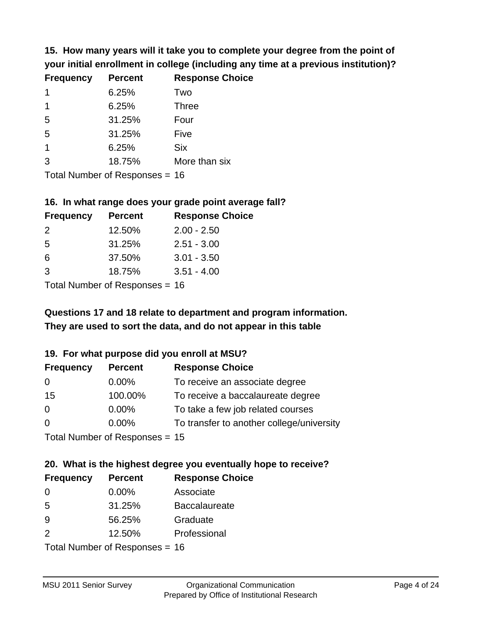**15. How many years will it take you to complete your degree from the point of your initial enrollment in college (including any time at a previous institution)?**

| <b>Frequency</b> | <b>Percent</b> | <b>Response Choice</b> |
|------------------|----------------|------------------------|
| 1                | 6.25%          | Two                    |
| 1                | 6.25%          | <b>Three</b>           |
| 5                | 31.25%         | Four                   |
| 5                | 31.25%         | Five                   |
| $\mathbf{1}$     | 6.25%          | <b>Six</b>             |
| 3                | 18.75%         | More than six          |
|                  |                |                        |

Total Number of Responses = 16

#### **16. In what range does your grade point average fall?**

| <b>Frequency</b> | <b>Percent</b> | <b>Response Choice</b> |
|------------------|----------------|------------------------|
| 2                | 12.50%         | $2.00 - 2.50$          |
| 5                | 31.25%         | $2.51 - 3.00$          |
| 6                | 37.50%         | $3.01 - 3.50$          |
| -3               | 18.75%         | $3.51 - 4.00$          |
|                  |                |                        |

Total Number of Responses = 16

# **They are used to sort the data, and do not appear in this table Questions 17 and 18 relate to department and program information.**

#### **19. For what purpose did you enroll at MSU?**

| <b>Frequency</b> | <b>Percent</b>                  | <b>Response Choice</b>                    |
|------------------|---------------------------------|-------------------------------------------|
| 0                | $0.00\%$                        | To receive an associate degree            |
| 15               | 100.00%                         | To receive a baccalaureate degree         |
| $\overline{0}$   | $0.00\%$                        | To take a few job related courses         |
| $\Omega$         | 0.00%                           | To transfer to another college/university |
|                  | Total Number of Responses $-15$ |                                           |

 $T$ otal Number of Responses = 15

# **20. What is the highest degree you eventually hope to receive?**

| <b>Frequency</b> | <b>Percent</b>             | <b>Response Choice</b> |
|------------------|----------------------------|------------------------|
| 0                | $0.00\%$                   | Associate              |
| 5                | 31.25%                     | <b>Baccalaureate</b>   |
| 9                | 56.25%                     | Graduate               |
| 2                | 12.50%                     | Professional           |
|                  | Total Number of Deepersoon |                        |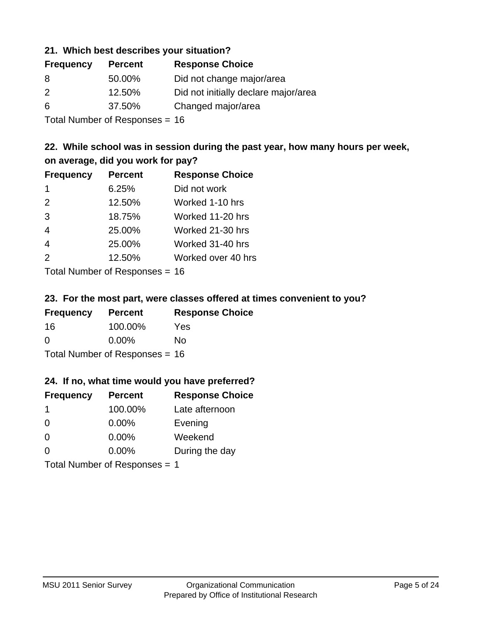#### **21. Which best describes your situation?**

| <b>Frequency</b> | <b>Percent</b> | <b>Response Choice</b>               |
|------------------|----------------|--------------------------------------|
| 8                | 50.00%         | Did not change major/area            |
| 2                | 12.50%         | Did not initially declare major/area |
| 6                | 37.50%         | Changed major/area                   |
|                  |                |                                      |

Total Number of Responses = 16

# **22. While school was in session during the past year, how many hours per week, on average, did you work for pay?**

| <b>Frequency</b> | <b>Percent</b> | <b>Response Choice</b> |
|------------------|----------------|------------------------|
| -1               | 6.25%          | Did not work           |
| 2                | 12.50%         | Worked 1-10 hrs        |
| 3                | 18.75%         | Worked 11-20 hrs       |
| $\overline{4}$   | 25.00%         | Worked 21-30 hrs       |
| $\overline{4}$   | 25.00%         | Worked 31-40 hrs       |
| 2                | 12.50%         | Worked over 40 hrs     |
|                  |                |                        |

Total Number of Responses = 16

#### **23. For the most part, were classes offered at times convenient to you?**

| <b>Frequency</b>                 | <b>Percent</b> | <b>Response Choice</b> |
|----------------------------------|----------------|------------------------|
| 16                               | 100.00%        | Yes                    |
| $\Omega$                         | $0.00\%$       | No.                    |
| Total Number of Responses = $16$ |                |                        |

#### **24. If no, what time would you have preferred?**

| <b>Frequency</b>              | <b>Percent</b> | <b>Response Choice</b> |
|-------------------------------|----------------|------------------------|
| -1                            | 100.00%        | Late afternoon         |
| $\Omega$                      | 0.00%          | Evening                |
| 0                             | $0.00\%$       | Weekend                |
| $\Omega$                      | $0.00\%$       | During the day         |
| Total Number of Responses = 1 |                |                        |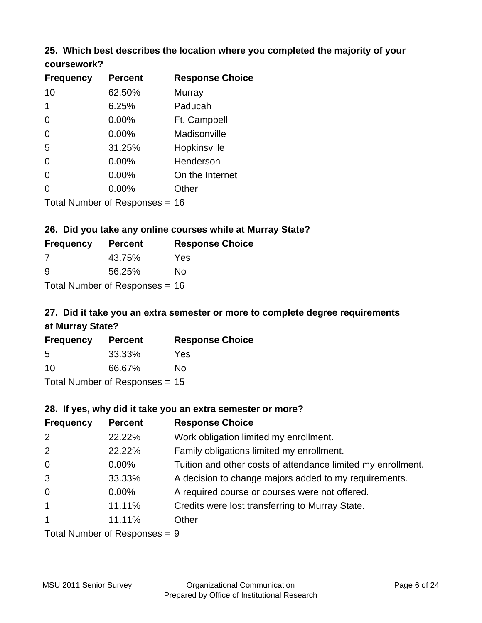# **25. Which best describes the location where you completed the majority of your**

| coursework? |  |
|-------------|--|
|-------------|--|

| <b>Frequency</b> | <b>Percent</b>                 | <b>Response Choice</b> |
|------------------|--------------------------------|------------------------|
| 10               | 62.50%                         | Murray                 |
| 1                | 6.25%                          | Paducah                |
| 0                | $0.00\%$                       | Ft. Campbell           |
| $\overline{0}$   | 0.00%                          | Madisonville           |
| 5                | 31.25%                         | Hopkinsville           |
| 0                | $0.00\%$                       | Henderson              |
| 0                | 0.00%                          | On the Internet        |
| 0                | $0.00\%$                       | Other                  |
|                  | Total Number of Responses = 16 |                        |

#### **26. Did you take any online courses while at Murray State?**

| <b>Frequency</b> | <b>Percent</b>                 | <b>Response Choice</b> |
|------------------|--------------------------------|------------------------|
| -7               | 43.75%                         | Yes                    |
| ୍ର               | 56.25%                         | Nο                     |
|                  | Total Number of Responses = 16 |                        |

# **27. Did it take you an extra semester or more to complete degree requirements at Murray State?**

| <b>Frequency</b> | <b>Percent</b>                   | <b>Response Choice</b> |
|------------------|----------------------------------|------------------------|
| 5                | 33.33%                           | Yes                    |
| 10               | 66.67%                           | No                     |
|                  | Total Number of Responses = $15$ |                        |

#### **28. If yes, why did it take you an extra semester or more?**

| <b>Frequency</b> | <b>Percent</b>                  | <b>Response Choice</b>                                       |
|------------------|---------------------------------|--------------------------------------------------------------|
| 2                | 22.22%                          | Work obligation limited my enrollment.                       |
| 2                | 22.22%                          | Family obligations limited my enrollment.                    |
| $\mathbf 0$      | $0.00\%$                        | Tuition and other costs of attendance limited my enrollment. |
| 3                | 33.33%                          | A decision to change majors added to my requirements.        |
| $\mathbf 0$      | $0.00\%$                        | A required course or courses were not offered.               |
| $\overline{1}$   | 11.11%                          | Credits were lost transferring to Murray State.              |
| $\overline{1}$   | 11.11%                          | Other                                                        |
|                  | Total Number of Poenonces $= 0$ |                                                              |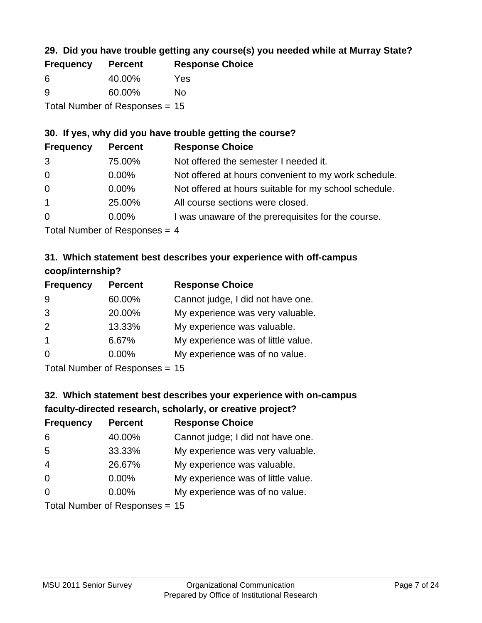# **29. Did you have trouble getting any course(s) you needed while at Murray State?**

| <b>Frequency</b>                 | <b>Percent</b> | <b>Response Choice</b> |  |
|----------------------------------|----------------|------------------------|--|
| -6                               | 40.00%         | Yes                    |  |
| -9                               | 60.00%         | Nο                     |  |
| Total Number of Responses $= 15$ |                |                        |  |

#### **30. If yes, why did you have trouble getting the course?**

| <b>Frequency</b> | <b>Percent</b>                                                                                                     | <b>Response Choice</b>                                |
|------------------|--------------------------------------------------------------------------------------------------------------------|-------------------------------------------------------|
| 3                | 75.00%                                                                                                             | Not offered the semester I needed it.                 |
| $\overline{0}$   | $0.00\%$                                                                                                           | Not offered at hours convenient to my work schedule.  |
| $\overline{0}$   | $0.00\%$                                                                                                           | Not offered at hours suitable for my school schedule. |
| $\overline{1}$   | 25.00%                                                                                                             | All course sections were closed.                      |
| $\overline{0}$   | $0.00\%$                                                                                                           | I was unaware of the prerequisites for the course.    |
|                  | $\tau$ . The state of $\sim$ 1 and 1 and 1 and 1 and 1 and 1 and 1 and 1 and 1 and 1 and 1 and 1 and 1 and 1 and 1 |                                                       |

Total Number of Responses = 4

### **31. Which statement best describes your experience with off-campus coop/internship?**

| <b>Frequency</b> | <b>Percent</b> | <b>Response Choice</b>             |
|------------------|----------------|------------------------------------|
| 9                | 60.00%         | Cannot judge, I did not have one.  |
| 3                | 20.00%         | My experience was very valuable.   |
| 2                | 13.33%         | My experience was valuable.        |
| $\overline{1}$   | 6.67%          | My experience was of little value. |
| $\Omega$         | 0.00%          | My experience was of no value.     |
|                  |                |                                    |

Total Number of Responses = 15

# **32. Which statement best describes your experience with on-campus faculty-directed research, scholarly, or creative project?**

| <b>Frequency</b> | <b>Percent</b>             | <b>Response Choice</b>             |
|------------------|----------------------------|------------------------------------|
| 6                | 40.00%                     | Cannot judge; I did not have one.  |
| 5                | 33.33%                     | My experience was very valuable.   |
| $\overline{4}$   | 26.67%                     | My experience was valuable.        |
| $\overline{0}$   | $0.00\%$                   | My experience was of little value. |
| $\Omega$         | 0.00%                      | My experience was of no value.     |
|                  | Tatal Number of Desperance |                                    |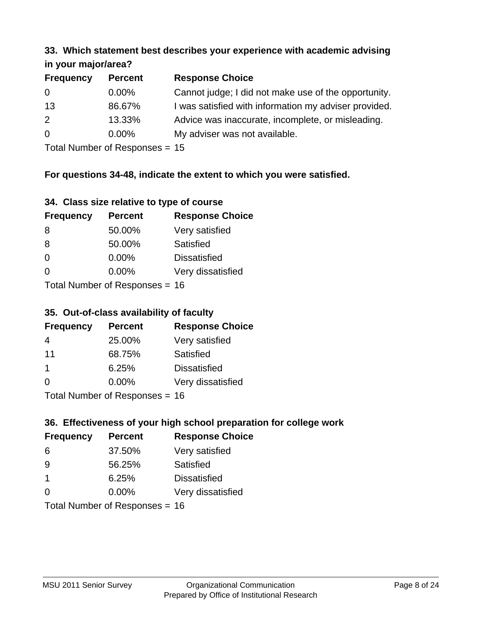#### **33. Which statement best describes your experience with academic advising in your major/area?**

| $\cdots$ your mapproved. |                |                                                       |
|--------------------------|----------------|-------------------------------------------------------|
| <b>Frequency</b>         | <b>Percent</b> | <b>Response Choice</b>                                |
| 0                        | $0.00\%$       | Cannot judge; I did not make use of the opportunity.  |
| 13                       | 86.67%         | I was satisfied with information my adviser provided. |
| 2                        | 13.33%         | Advice was inaccurate, incomplete, or misleading.     |
| $\Omega$                 | $0.00\%$       | My adviser was not available.                         |
|                          |                |                                                       |

Total Number of Responses = 15

## **For questions 34-48, indicate the extent to which you were satisfied.**

| 34. Class size relative to type of course |  |  |  |  |  |  |  |  |
|-------------------------------------------|--|--|--|--|--|--|--|--|
|-------------------------------------------|--|--|--|--|--|--|--|--|

| <b>Frequency</b> | <b>Percent</b>                 | <b>Response Choice</b> |
|------------------|--------------------------------|------------------------|
| -8               | 50.00%                         | Very satisfied         |
| 8                | 50.00%                         | Satisfied              |
| $\Omega$         | $0.00\%$                       | <b>Dissatisfied</b>    |
| $\Omega$         | 0.00%                          | Very dissatisfied      |
|                  | Total Number of Responses - 16 |                        |

Total Number of Responses = 16

### **35. Out-of-class availability of faculty**

| <b>Frequency</b> | <b>Percent</b>            | <b>Response Choice</b> |
|------------------|---------------------------|------------------------|
| 4                | 25.00%                    | Very satisfied         |
| 11               | 68.75%                    | Satisfied              |
| -1               | 6.25%                     | <b>Dissatisfied</b>    |
| $\Omega$         | $0.00\%$                  | Very dissatisfied      |
|                  | Total Number of DoEROR 0. |                        |

Total Number of Responses = 16

# **36. Effectiveness of your high school preparation for college work**

| <b>Frequency</b>               | <b>Percent</b> | <b>Response Choice</b> |  |
|--------------------------------|----------------|------------------------|--|
| 6                              | 37.50%         | Very satisfied         |  |
| 9                              | 56.25%         | Satisfied              |  |
| $\mathbf 1$                    | 6.25%          | <b>Dissatisfied</b>    |  |
| $\Omega$                       | 0.00%          | Very dissatisfied      |  |
| Total Number of Responses = 16 |                |                        |  |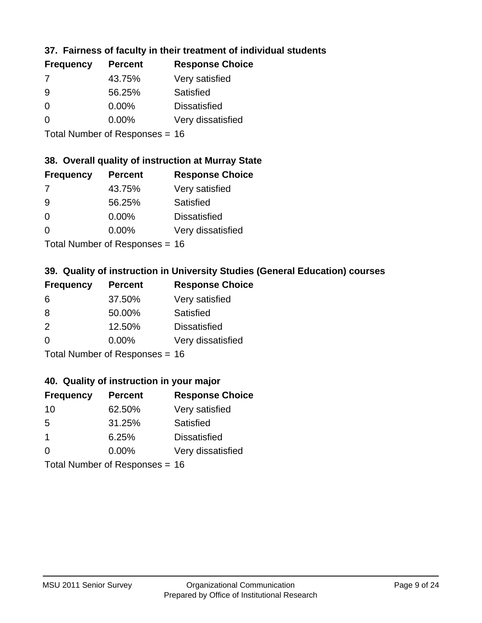## **37. Fairness of faculty in their treatment of individual students**

| <b>Frequency</b> | <b>Percent</b> | <b>Response Choice</b> |
|------------------|----------------|------------------------|
| 7                | 43.75%         | Very satisfied         |
| 9                | 56.25%         | Satisfied              |
| $\Omega$         | $0.00\%$       | <b>Dissatisfied</b>    |
| $\Omega$         | $0.00\%$       | Very dissatisfied      |
|                  |                |                        |

Total Number of Responses = 16

# **38. Overall quality of instruction at Murray State**

| <b>Frequency</b> | <b>Percent</b> | <b>Response Choice</b> |
|------------------|----------------|------------------------|
| 7                | 43.75%         | Very satisfied         |
| 9                | 56.25%         | Satisfied              |
| $\Omega$         | 0.00%          | <b>Dissatisfied</b>    |
| $\Omega$         | 0.00%          | Very dissatisfied      |
|                  |                |                        |

Total Number of Responses = 16

# **39. Quality of instruction in University Studies (General Education) courses**

| <b>Frequency</b> | <b>Percent</b>            | <b>Response Choice</b> |
|------------------|---------------------------|------------------------|
| 6                | 37.50%                    | Very satisfied         |
| 8                | 50.00%                    | Satisfied              |
| $\mathcal{P}$    | 12.50%                    | <b>Dissatisfied</b>    |
| $\Omega$         | 0.00%                     | Very dissatisfied      |
|                  | Total Number of Desponses |                        |

Total Number of Responses = 16

#### **40. Quality of instruction in your major**

| <b>Frequency</b> | <b>Percent</b>             | <b>Response Choice</b> |
|------------------|----------------------------|------------------------|
| 10               | 62.50%                     | Very satisfied         |
| 5                | 31.25%                     | Satisfied              |
| $\mathbf 1$      | 6.25%                      | <b>Dissatisfied</b>    |
| $\Omega$         | 0.00%                      | Very dissatisfied      |
|                  | Tatal Number of Desperance |                        |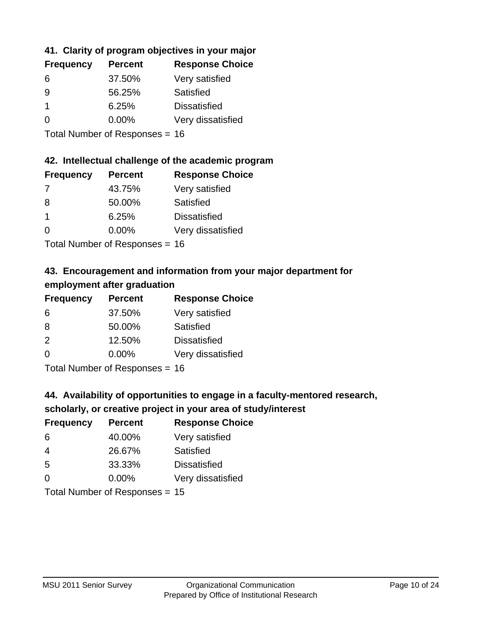# **41. Clarity of program objectives in your major**

| <b>Frequency</b> | <b>Percent</b> | <b>Response Choice</b> |
|------------------|----------------|------------------------|
| 6                | 37.50%         | Very satisfied         |
| -9               | 56.25%         | Satisfied              |
|                  | 6.25%          | <b>Dissatisfied</b>    |
| O                | $0.00\%$       | Very dissatisfied      |
|                  |                |                        |

Total Number of Responses = 16

#### **42. Intellectual challenge of the academic program**

| <b>Frequency</b> | <b>Percent</b> | <b>Response Choice</b> |
|------------------|----------------|------------------------|
| 7                | 43.75%         | Very satisfied         |
| 8                | 50.00%         | Satisfied              |
|                  | 6.25%          | <b>Dissatisfied</b>    |
| $\Omega$         | 0.00%          | Very dissatisfied      |
|                  |                |                        |

Total Number of Responses = 16

# **43. Encouragement and information from your major department for employment after graduation**

| <b>Frequency</b> | <b>Percent</b>             | <b>Response Choice</b> |
|------------------|----------------------------|------------------------|
| 6                | 37.50%                     | Very satisfied         |
| 8                | 50.00%                     | Satisfied              |
| 2                | 12.50%                     | <b>Dissatisfied</b>    |
| 0                | 0.00%                      | Very dissatisfied      |
|                  | Tatal Manakan af Dannannan |                        |

Total Number of Responses = 16

# **44. Availability of opportunities to engage in a faculty-mentored research,**

# **scholarly, or creative project in your area of study/interest**

| <b>Frequency</b> | <b>Percent</b> | <b>Response Choice</b> |
|------------------|----------------|------------------------|
| 6                | 40.00%         | Very satisfied         |
| 4                | 26.67%         | Satisfied              |
| 5                | 33.33%         | <b>Dissatisfied</b>    |
| ∩                | 0.00%          | Very dissatisfied      |
|                  |                |                        |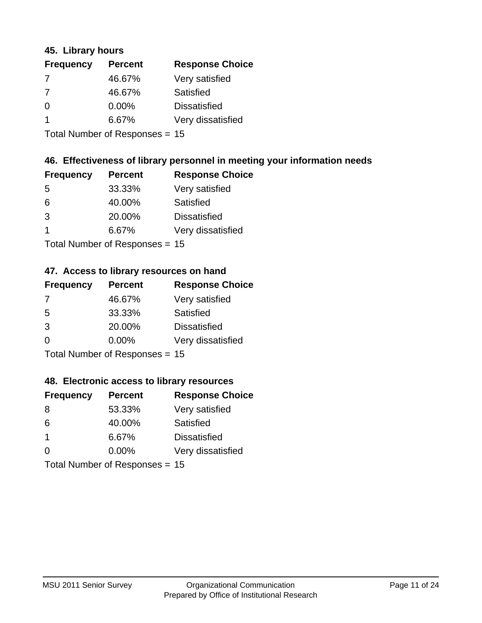#### **45. Library hours**

| <b>Frequency</b> | <b>Percent</b> | <b>Response Choice</b> |
|------------------|----------------|------------------------|
| 7                | 46.67%         | Very satisfied         |
| 7                | 46.67%         | Satisfied              |
| $\Omega$         | 0.00%          | <b>Dissatisfied</b>    |
|                  | 6.67%          | Very dissatisfied      |
|                  |                |                        |

Total Number of Responses = 15

### **46. Effectiveness of library personnel in meeting your information needs**

| <b>Frequency</b> | <b>Percent</b> | <b>Response Choice</b> |
|------------------|----------------|------------------------|
| .5               | 33.33%         | Very satisfied         |
| 6                | 40.00%         | Satisfied              |
| 3                | 20.00%         | <b>Dissatisfied</b>    |
|                  | 6.67%          | Very dissatisfied      |
|                  |                |                        |

Total Number of Responses = 15

#### **47. Access to library resources on hand**

| <b>Frequency</b> | <b>Percent</b>                  | <b>Response Choice</b> |
|------------------|---------------------------------|------------------------|
| 7                | 46.67%                          | Very satisfied         |
| 5                | 33.33%                          | Satisfied              |
| 3                | 20.00%                          | <b>Dissatisfied</b>    |
| $\Omega$         | $0.00\%$                        | Very dissatisfied      |
|                  | $Total Number of Doonono0 = 4E$ |                        |

Total Number of Responses = 15

#### **48. Electronic access to library resources**

| <b>Frequency</b> | <b>Percent</b>                 | <b>Response Choice</b> |
|------------------|--------------------------------|------------------------|
| 8                | 53.33%                         | Very satisfied         |
| 6                | 40.00%                         | Satisfied              |
| $\overline{1}$   | 6.67%                          | <b>Dissatisfied</b>    |
| $\Omega$         | 0.00%                          | Very dissatisfied      |
|                  | Total Number of Responses = 15 |                        |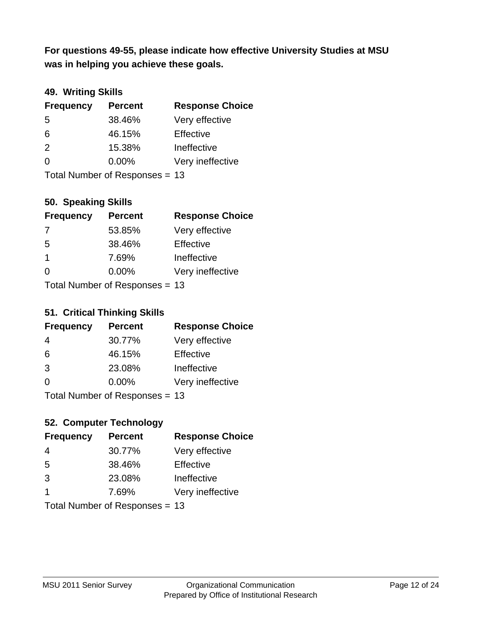**was in helping you achieve these goals. For questions 49-55, please indicate how effective University Studies at MSU** 

# **49. Writing Skills**

| <b>Frequency</b> | <b>Percent</b>                 | <b>Response Choice</b> |
|------------------|--------------------------------|------------------------|
| 5                | 38.46%                         | Very effective         |
| 6                | 46.15%                         | Effective              |
| 2                | 15.38%                         | Ineffective            |
| $\Omega$         | $0.00\%$                       | Very ineffective       |
|                  | Total Number of Responses = 13 |                        |

**50. Speaking Skills**

| <b>Frequency</b> | <b>Percent</b>                 | <b>Response Choice</b> |
|------------------|--------------------------------|------------------------|
| -7               | 53.85%                         | Very effective         |
| 5                | 38.46%                         | Effective              |
| -1               | 7.69%                          | Ineffective            |
| $\Omega$         | 0.00%                          | Very ineffective       |
|                  | Total Number of Poenonces - 13 |                        |

Total Number of Responses = 13

#### **51. Critical Thinking Skills**

| <b>Frequency</b> | <b>Percent</b>              | <b>Response Choice</b> |
|------------------|-----------------------------|------------------------|
| 4                | 30.77%                      | Very effective         |
| 6                | 46.15%                      | Effective              |
| 3                | 23.08%                      | Ineffective            |
| $\Omega$         | 0.00%                       | Very ineffective       |
|                  | $Total Number of Denonce -$ |                        |

Total Number of Responses = 13

# **52. Computer Technology**

| <b>Frequency</b> | <b>Percent</b>                 | <b>Response Choice</b> |
|------------------|--------------------------------|------------------------|
| 4                | 30.77%                         | Very effective         |
| 5                | 38.46%                         | Effective              |
| 3                | 23.08%                         | Ineffective            |
| -1               | 7.69%                          | Very ineffective       |
|                  | Total Number of Responses = 13 |                        |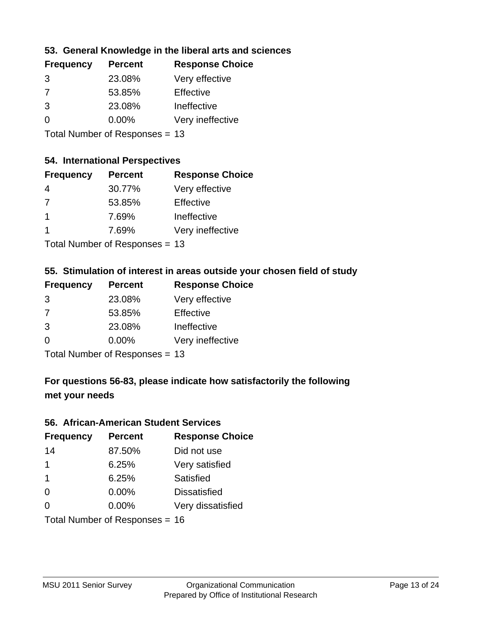### **53. General Knowledge in the liberal arts and sciences**

| <b>Frequency</b> | <b>Percent</b> | <b>Response Choice</b> |
|------------------|----------------|------------------------|
| 3                | 23.08%         | Very effective         |
| 7                | 53.85%         | Effective              |
| 3                | 23.08%         | Ineffective            |
| $\Omega$         | $0.00\%$       | Very ineffective       |
|                  |                |                        |

Total Number of Responses = 13

#### **54. International Perspectives**

| <b>Frequency</b> | <b>Percent</b> | <b>Response Choice</b> |
|------------------|----------------|------------------------|
| 4                | 30.77%         | Very effective         |
| 7                | 53.85%         | Effective              |
| 1                | 7.69%          | Ineffective            |
| 1                | 7.69%          | Very ineffective       |
|                  |                |                        |

Total Number of Responses = 13

#### **55. Stimulation of interest in areas outside your chosen field of study**

| <b>Frequency</b> | <b>Percent</b>                 | <b>Response Choice</b> |
|------------------|--------------------------------|------------------------|
| 3                | 23.08%                         | Very effective         |
| 7                | 53.85%                         | Effective              |
| 3                | 23.08%                         | Ineffective            |
| $\Omega$         | $0.00\%$                       | Very ineffective       |
|                  | Total Number of Responses = 13 |                        |

# **For questions 56-83, please indicate how satisfactorily the following met your needs**

#### **56. African-American Student Services**

| <b>Frequency</b> | <b>Percent</b>                 | <b>Response Choice</b> |
|------------------|--------------------------------|------------------------|
| 14               | 87.50%                         | Did not use            |
| $\mathbf 1$      | 6.25%                          | Very satisfied         |
| $\mathbf 1$      | 6.25%                          | Satisfied              |
| 0                | $0.00\%$                       | <b>Dissatisfied</b>    |
| $\Omega$         | $0.00\%$                       | Very dissatisfied      |
|                  | Total Number of Responses = 16 |                        |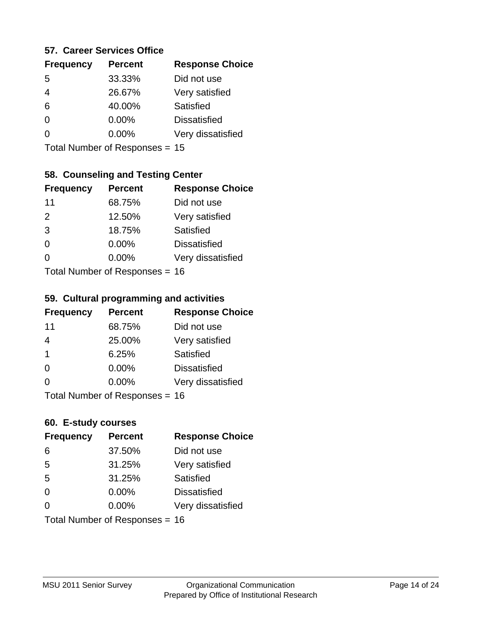#### **57. Career Services Office**

| <b>Frequency</b> | <b>Percent</b> | <b>Response Choice</b> |
|------------------|----------------|------------------------|
| 5                | 33.33%         | Did not use            |
|                  | 26.67%         | Very satisfied         |
| 6                | 40.00%         | Satisfied              |
| ∩                | $0.00\%$       | <b>Dissatisfied</b>    |
|                  | $0.00\%$       | Very dissatisfied      |
|                  |                |                        |

Total Number of Responses = 15

## **58. Counseling and Testing Center**

| <b>Frequency</b> | <b>Percent</b>            | <b>Response Choice</b> |
|------------------|---------------------------|------------------------|
| 11               | 68.75%                    | Did not use            |
| 2                | 12.50%                    | Very satisfied         |
| 3                | 18.75%                    | Satisfied              |
| $\Omega$         | 0.00%                     | <b>Dissatisfied</b>    |
| ∩                | 0.00%                     | Very dissatisfied      |
|                  | Total Number of Desponses |                        |

Total Number of Responses = 16

#### **59. Cultural programming and activities**

| <b>Frequency</b> | <b>Percent</b>                 | <b>Response Choice</b> |
|------------------|--------------------------------|------------------------|
| 11               | 68.75%                         | Did not use            |
| $\overline{4}$   | 25.00%                         | Very satisfied         |
| -1               | 6.25%                          | Satisfied              |
| $\Omega$         | $0.00\%$                       | <b>Dissatisfied</b>    |
| $\Omega$         | $0.00\%$                       | Very dissatisfied      |
|                  | Total Number of Responses = 16 |                        |

#### **60. E-study courses**

| <b>Frequency</b> | <b>Percent</b>                 | <b>Response Choice</b> |
|------------------|--------------------------------|------------------------|
| 6                | 37.50%                         | Did not use            |
| 5                | 31.25%                         | Very satisfied         |
| 5                | 31.25%                         | Satisfied              |
| $\Omega$         | 0.00%                          | <b>Dissatisfied</b>    |
| $\Omega$         | $0.00\%$                       | Very dissatisfied      |
|                  | Total Number of Responses = 16 |                        |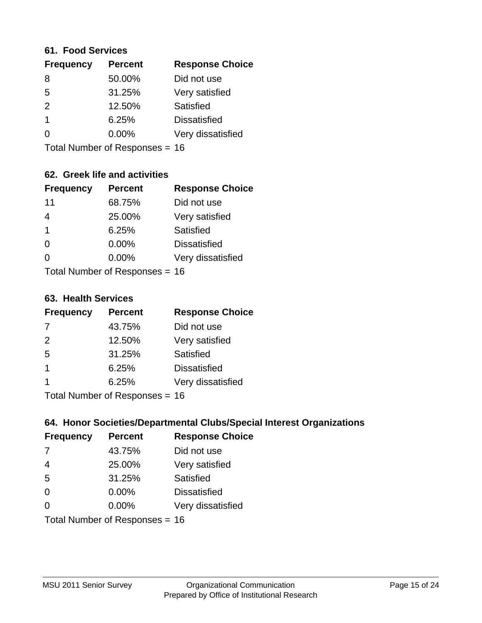#### **61. Food Services**

| <b>Frequency</b> | <b>Percent</b> | <b>Response Choice</b> |
|------------------|----------------|------------------------|
| 8                | 50.00%         | Did not use            |
| 5                | 31.25%         | Very satisfied         |
| $\mathcal{P}$    | 12.50%         | Satisfied              |
| $\mathbf 1$      | 6.25%          | <b>Dissatisfied</b>    |
| ∩                | 0.00%          | Very dissatisfied      |
|                  |                |                        |

Total Number of Responses = 16

# **62. Greek life and activities**

| <b>Frequency</b> | <b>Percent</b>                 | <b>Response Choice</b> |
|------------------|--------------------------------|------------------------|
| 11               | 68.75%                         | Did not use            |
| $\overline{4}$   | 25.00%                         | Very satisfied         |
| $\overline{1}$   | 6.25%                          | Satisfied              |
| $\Omega$         | 0.00%                          | <b>Dissatisfied</b>    |
| 0                | $0.00\%$                       | Very dissatisfied      |
|                  | Total Number of Responses = 16 |                        |

**63. Health Services**

| <b>Frequency</b> | <b>Percent</b>             | <b>Response Choice</b> |
|------------------|----------------------------|------------------------|
| 7                | 43.75%                     | Did not use            |
| 2                | 12.50%                     | Very satisfied         |
| 5                | 31.25%                     | Satisfied              |
| $\overline{1}$   | 6.25%                      | <b>Dissatisfied</b>    |
|                  | 6.25%                      | Very dissatisfied      |
|                  | Total Number of Desperance |                        |

Total Number of Responses = 16

### **64. Honor Societies/Departmental Clubs/Special Interest Organizations**

| <b>Frequency</b> | <b>Percent</b>                 | <b>Response Choice</b> |
|------------------|--------------------------------|------------------------|
| 7                | 43.75%                         | Did not use            |
| $\overline{4}$   | 25.00%                         | Very satisfied         |
| 5                | 31.25%                         | Satisfied              |
| $\Omega$         | 0.00%                          | <b>Dissatisfied</b>    |
| $\Omega$         | 0.00%                          | Very dissatisfied      |
|                  | Total Number of Responses = 16 |                        |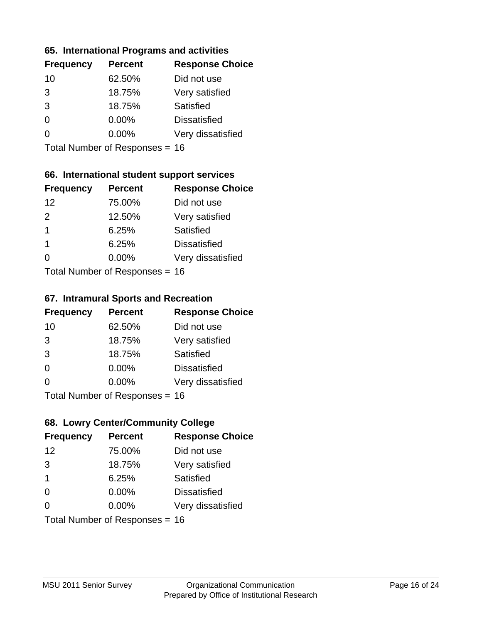#### **65. International Programs and activities**

| <b>Frequency</b> | <b>Percent</b> | <b>Response Choice</b> |
|------------------|----------------|------------------------|
| 10               | 62.50%         | Did not use            |
| 3                | 18.75%         | Very satisfied         |
| 3                | 18.75%         | Satisfied              |
| 0                | $0.00\%$       | <b>Dissatisfied</b>    |
|                  | $0.00\%$       | Very dissatisfied      |
|                  |                |                        |

Total Number of Responses = 16

## **66. International student support services**

| <b>Frequency</b> | <b>Percent</b>             | <b>Response Choice</b> |
|------------------|----------------------------|------------------------|
| 12               | 75.00%                     | Did not use            |
| $\mathcal{P}$    | 12.50%                     | Very satisfied         |
| -1               | 6.25%                      | Satisfied              |
| $\overline{1}$   | 6.25%                      | <b>Dissatisfied</b>    |
| ∩                | $0.00\%$                   | Very dissatisfied      |
|                  | Total Number of Deepersoon |                        |

Total Number of Responses = 16

#### **67. Intramural Sports and Recreation**

| <b>Frequency</b> | <b>Percent</b>               | <b>Response Choice</b> |
|------------------|------------------------------|------------------------|
| 10               | 62.50%                       | Did not use            |
| 3                | 18.75%                       | Very satisfied         |
| 3                | 18.75%                       | <b>Satisfied</b>       |
| $\Omega$         | $0.00\%$                     | <b>Dissatisfied</b>    |
| $\Omega$         | $0.00\%$                     | Very dissatisfied      |
|                  | $Total Number of Denonce 46$ |                        |

Total Number of Responses = 16

# **68. Lowry Center/Community College**

| <b>Frequency</b> | <b>Percent</b>                 | <b>Response Choice</b> |
|------------------|--------------------------------|------------------------|
| 12               | 75.00%                         | Did not use            |
| 3                | 18.75%                         | Very satisfied         |
| $\overline{1}$   | 6.25%                          | Satisfied              |
| $\Omega$         | 0.00%                          | <b>Dissatisfied</b>    |
| ∩                | $0.00\%$                       | Very dissatisfied      |
|                  | Total Number of Responses = 16 |                        |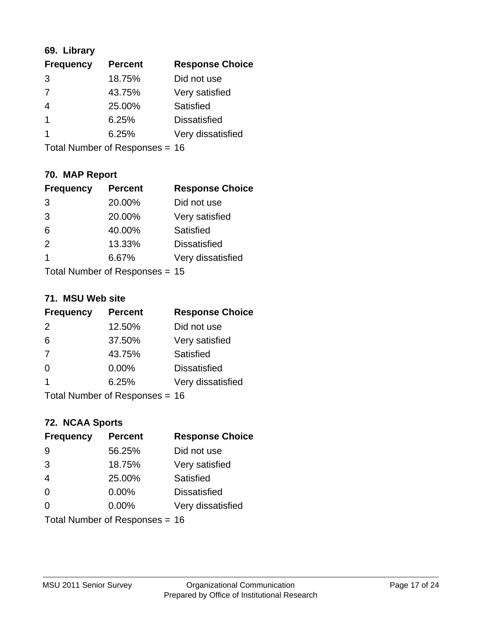# **69. Library**

| <b>Frequency</b> | <b>Percent</b> | <b>Response Choice</b> |
|------------------|----------------|------------------------|
| 3                | 18.75%         | Did not use            |
| 7                | 43.75%         | Very satisfied         |
| 4                | 25.00%         | Satisfied              |
| 1                | 6.25%          | <b>Dissatisfied</b>    |
|                  | 6.25%          | Very dissatisfied      |
|                  |                |                        |

Total Number of Responses = 16

# **70. MAP Report**

| <b>Frequency</b> | <b>Percent</b>                 | <b>Response Choice</b> |
|------------------|--------------------------------|------------------------|
| 3                | 20.00%                         | Did not use            |
| 3                | 20.00%                         | Very satisfied         |
| 6                | 40.00%                         | Satisfied              |
| 2                | 13.33%                         | <b>Dissatisfied</b>    |
| -1               | 6.67%                          | Very dissatisfied      |
|                  | Total Number of Responses = 15 |                        |

#### **71. MSU Web site**

| <b>Frequency</b>        | <b>Percent</b>                 | <b>Response Choice</b> |
|-------------------------|--------------------------------|------------------------|
| 2                       | 12.50%                         | Did not use            |
| 6                       | 37.50%                         | Very satisfied         |
| 7                       | 43.75%                         | Satisfied              |
| $\Omega$                | 0.00%                          | <b>Dissatisfied</b>    |
| $\overline{\mathbf{1}}$ | 6.25%                          | Very dissatisfied      |
|                         | Total Number of Responses = 16 |                        |

# **72. NCAA Sports**

| <b>Frequency</b> | <b>Percent</b>                 | <b>Response Choice</b> |
|------------------|--------------------------------|------------------------|
| 9                | 56.25%                         | Did not use            |
| 3                | 18.75%                         | Very satisfied         |
| $\overline{4}$   | 25.00%                         | <b>Satisfied</b>       |
| $\Omega$         | 0.00%                          | <b>Dissatisfied</b>    |
| $\Omega$         | 0.00%                          | Very dissatisfied      |
|                  | Total Number of Responses = 16 |                        |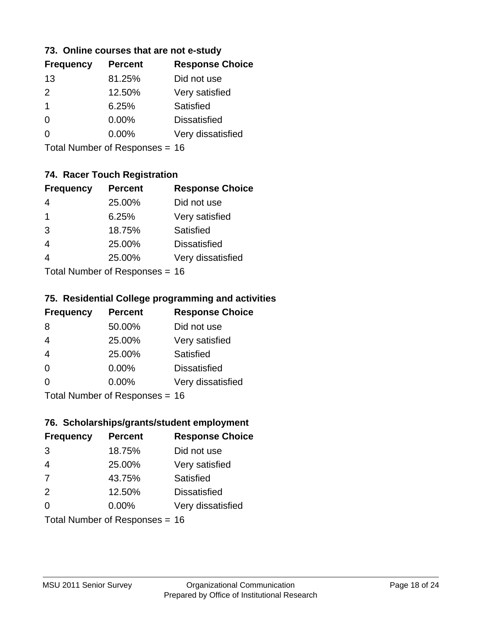### **73. Online courses that are not e-study**

| <b>Percent</b> | <b>Response Choice</b> |
|----------------|------------------------|
| 81.25%         | Did not use            |
| 12.50%         | Very satisfied         |
| 6.25%          | Satisfied              |
| $0.00\%$       | <b>Dissatisfied</b>    |
| $0.00\%$       | Very dissatisfied      |
|                |                        |

Total Number of Responses = 16

# **74. Racer Touch Registration**

| <b>Frequency</b> | <b>Percent</b>             | <b>Response Choice</b> |
|------------------|----------------------------|------------------------|
|                  | 25.00%                     | Did not use            |
| 1                | 6.25%                      | Very satisfied         |
| 3                | 18.75%                     | <b>Satisfied</b>       |
| $\overline{4}$   | 25.00%                     | <b>Dissatisfied</b>    |
|                  | 25.00%                     | Very dissatisfied      |
|                  | Total Number of Deepersoon |                        |

Total Number of Responses = 16

### **75. Residential College programming and activities**

| <b>Frequency</b> | <b>Percent</b>                  | <b>Response Choice</b> |
|------------------|---------------------------------|------------------------|
| 8                | 50.00%                          | Did not use            |
| $\overline{4}$   | 25.00%                          | Very satisfied         |
| $\overline{4}$   | 25.00%                          | Satisfied              |
| $\Omega$         | 0.00%                           | <b>Dissatisfied</b>    |
| $\Omega$         | 0.00%                           | Very dissatisfied      |
|                  | $Total Number of Denonose = 16$ |                        |

Total Number of Responses = 16

#### **76. Scholarships/grants/student employment**

| <b>Frequency</b> | <b>Percent</b>                 | <b>Response Choice</b> |
|------------------|--------------------------------|------------------------|
| 3                | 18.75%                         | Did not use            |
| $\overline{4}$   | 25.00%                         | Very satisfied         |
| 7                | 43.75%                         | Satisfied              |
| 2                | 12.50%                         | <b>Dissatisfied</b>    |
| $\Omega$         | $0.00\%$                       | Very dissatisfied      |
|                  | Total Number of Responses = 16 |                        |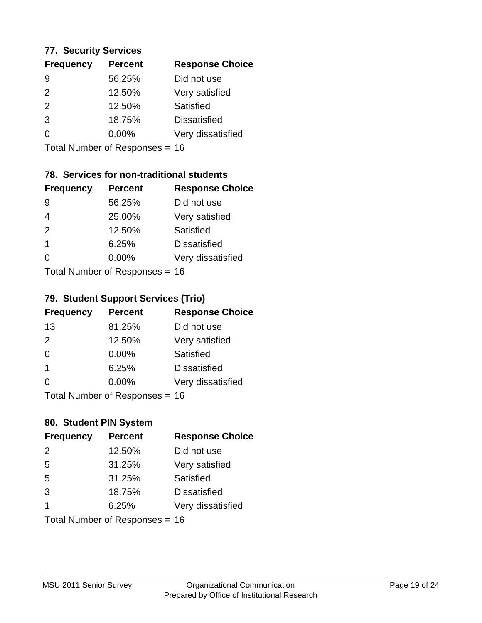#### **77. Security Services**

| <b>Frequency</b> | <b>Percent</b> | <b>Response Choice</b> |
|------------------|----------------|------------------------|
| 9                | 56.25%         | Did not use            |
| $\mathcal{P}$    | 12.50%         | Very satisfied         |
| 2                | 12.50%         | Satisfied              |
| 3                | 18.75%         | <b>Dissatisfied</b>    |
| ∩                | $0.00\%$       | Very dissatisfied      |
|                  |                |                        |

Total Number of Responses = 16

# **78. Services for non-traditional students**

| <b>Frequency</b> | <b>Percent</b>             | <b>Response Choice</b> |
|------------------|----------------------------|------------------------|
| 9                | 56.25%                     | Did not use            |
| 4                | 25.00%                     | Very satisfied         |
| 2                | 12.50%                     | Satisfied              |
| $\overline{1}$   | 6.25%                      | <b>Dissatisfied</b>    |
| ∩                | $0.00\%$                   | Very dissatisfied      |
|                  | Total Number of Deepersoon |                        |

Total Number of Responses = 16

### **79. Student Support Services (Trio)**

| <b>Frequency</b> | <b>Percent</b>            | <b>Response Choice</b> |
|------------------|---------------------------|------------------------|
| 13               | 81.25%                    | Did not use            |
| 2                | 12.50%                    | Very satisfied         |
| $\Omega$         | $0.00\%$                  | <b>Satisfied</b>       |
| $\overline{1}$   | 6.25%                     | <b>Dissatisfied</b>    |
| $\Omega$         | 0.00%                     | Very dissatisfied      |
|                  | Total Number of Desponses |                        |

Total Number of Responses = 16

#### **80. Student PIN System**

| <b>Frequency</b> | <b>Percent</b>                 | <b>Response Choice</b> |
|------------------|--------------------------------|------------------------|
| 2                | 12.50%                         | Did not use            |
| 5                | 31.25%                         | Very satisfied         |
| 5                | 31.25%                         | Satisfied              |
| 3                | 18.75%                         | <b>Dissatisfied</b>    |
| 1                | 6.25%                          | Very dissatisfied      |
|                  | Total Number of Responses = 16 |                        |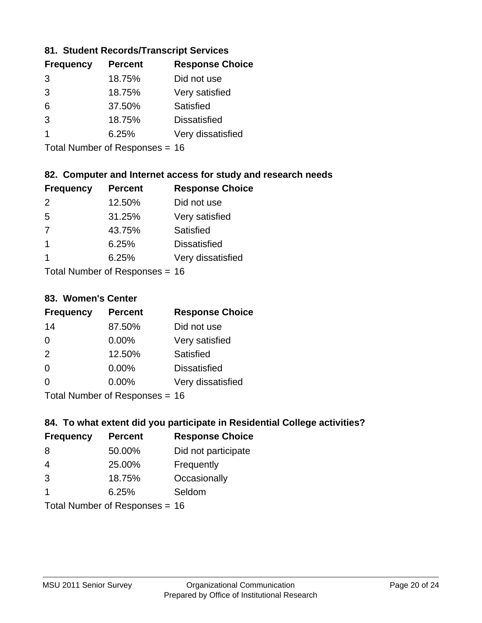### **81. Student Records/Transcript Services**

| <b>Frequency</b> | <b>Percent</b> | <b>Response Choice</b> |
|------------------|----------------|------------------------|
| 3                | 18.75%         | Did not use            |
| 3                | 18.75%         | Very satisfied         |
| 6                | 37.50%         | Satisfied              |
| $\mathcal{R}$    | 18.75%         | <b>Dissatisfied</b>    |
|                  | 6.25%          | Very dissatisfied      |

Total Number of Responses = 16

## **82. Computer and Internet access for study and research needs**

| <b>Frequency</b> | <b>Percent</b>                                    | <b>Response Choice</b> |
|------------------|---------------------------------------------------|------------------------|
| $\mathcal{P}$    | 12.50%                                            | Did not use            |
| 5                | 31.25%                                            | Very satisfied         |
| 7                | 43.75%                                            | Satisfied              |
| $\mathbf 1$      | 6.25%                                             | <b>Dissatisfied</b>    |
| 1                | 6.25%                                             | Very dissatisfied      |
|                  | $T$ at all Matters because of $D$ are a second on |                        |

Total Number of Responses = 16

#### **83. Women's Center**

| <b>Frequency</b> | <b>Percent</b>            | <b>Response Choice</b> |
|------------------|---------------------------|------------------------|
| 14               | 87.50%                    | Did not use            |
| $\Omega$         | 0.00%                     | Very satisfied         |
| 2                | 12.50%                    | Satisfied              |
| $\Omega$         | 0.00%                     | <b>Dissatisfied</b>    |
| ∩                | $0.00\%$                  | Very dissatisfied      |
|                  | Total Number of Deepersee |                        |

Total Number of Responses = 16

# **84. To what extent did you participate in Residential College activities?**

| <b>Frequency</b> | <b>Percent</b>            | <b>Response Choice</b> |
|------------------|---------------------------|------------------------|
| 8                | 50.00%                    | Did not participate    |
| 4                | 25.00%                    | Frequently             |
| 3                | 18.75%                    | Occasionally           |
| 1                | 6.25%                     | Seldom                 |
|                  | Total Number of Deepensee |                        |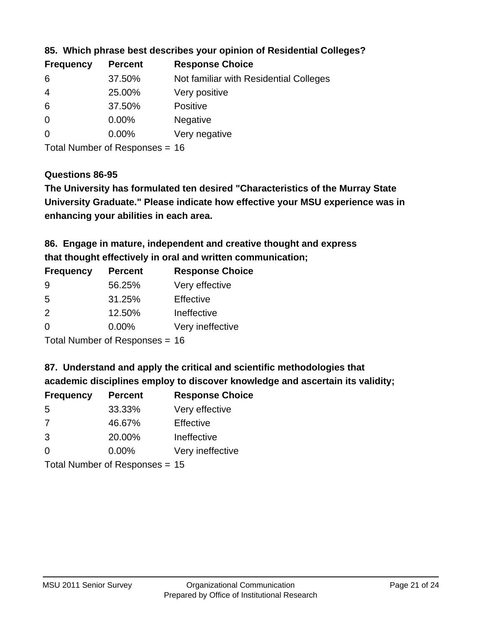| <b>Frequency</b> | <b>Percent</b> | <b>Response Choice</b>                 |
|------------------|----------------|----------------------------------------|
| -6               | 37.50%         | Not familiar with Residential Colleges |
| $\overline{4}$   | 25.00%         | Very positive                          |
| 6                | 37.50%         | <b>Positive</b>                        |
| $\overline{0}$   | $0.00\%$       | <b>Negative</b>                        |
| $\overline{0}$   | $0.00\%$       | Very negative                          |
|                  |                |                                        |

**85. Which phrase best describes your opinion of Residential Colleges?**

Total Number of Responses = 16

#### **Questions 86-95**

**University Graduate." Please indicate how effective your MSU experience was in The University has formulated ten desired "Characteristics of the Murray State enhancing your abilities in each area.**

**86. Engage in mature, independent and creative thought and express that thought effectively in oral and written communication;**

| <b>Frequency</b> | <b>Percent</b> | <b>Response Choice</b> |
|------------------|----------------|------------------------|
| 9                | 56.25%         | Very effective         |
| .5               | 31.25%         | Effective              |
| $\mathcal{P}$    | 12.50%         | Ineffective            |
| $\Omega$         | 0.00%          | Very ineffective       |

Total Number of Responses = 16

**87. Understand and apply the critical and scientific methodologies that** 

**academic disciplines employ to discover knowledge and ascertain its validity;**

| <b>Frequency</b> | <b>Percent</b> | <b>Response Choice</b> |
|------------------|----------------|------------------------|
| 5                | 33.33%         | Very effective         |
| 7                | 46.67%         | Effective              |
| 3                | 20.00%         | Ineffective            |
| $\Omega$         | 0.00%          | Very ineffective       |
|                  |                |                        |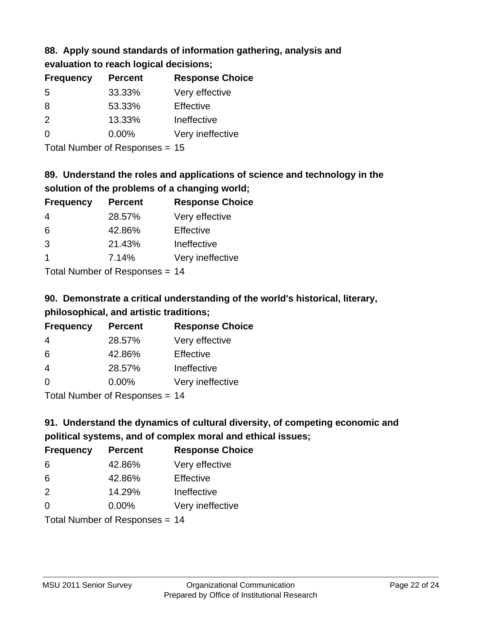# **88. Apply sound standards of information gathering, analysis and evaluation to reach logical decisions;**

| <b>Percent</b> | <b>Response Choice</b> |
|----------------|------------------------|
| 33.33%         | Very effective         |
| 53.33%         | Effective              |
| 13.33%         | Ineffective            |
| $0.00\%$       | Very ineffective       |
|                |                        |

Total Number of Responses = 15

# **89. Understand the roles and applications of science and technology in the solution of the problems of a changing world;**

| <b>Frequency</b> | <b>Percent</b>                           | <b>Response Choice</b> |
|------------------|------------------------------------------|------------------------|
| $\overline{4}$   | 28.57%                                   | Very effective         |
| 6                | 42.86%                                   | Effective              |
| 3                | 21.43%                                   | Ineffective            |
|                  | 7.14%                                    | Very ineffective       |
|                  | $\mathbf{r}$ . The state of $\mathbf{r}$ |                        |

Total Number of Responses = 14

# **90. Demonstrate a critical understanding of the world's historical, literary, philosophical, and artistic traditions;**

| <b>Frequency</b> | <b>Percent</b> | <b>Response Choice</b> |
|------------------|----------------|------------------------|
| 4                | 28.57%         | Very effective         |
| 6                | 42.86%         | Effective              |
| $\overline{4}$   | 28.57%         | Ineffective            |
| $\Omega$         | 0.00%          | Very ineffective       |
|                  |                |                        |

Total Number of Responses = 14

# **91. Understand the dynamics of cultural diversity, of competing economic and political systems, and of complex moral and ethical issues;**

| <b>Frequency</b>               | <b>Percent</b> | <b>Response Choice</b> |
|--------------------------------|----------------|------------------------|
| 6                              | 42.86%         | Very effective         |
| 6                              | 42.86%         | Effective              |
| 2                              | 14.29%         | Ineffective            |
| $\Omega$                       | $0.00\%$       | Very ineffective       |
| Total Number of Responses = 14 |                |                        |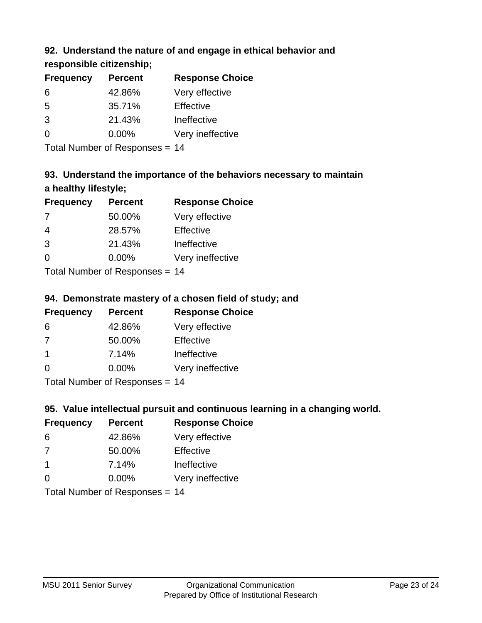# **92. Understand the nature of and engage in ethical behavior and**

**responsible citizenship;**

| <b>Frequency</b> | <b>Percent</b> | <b>Response Choice</b> |
|------------------|----------------|------------------------|
| 6                | 42.86%         | Very effective         |
| .5               | 35.71%         | Effective              |
| 3                | 21.43%         | Ineffective            |
| $\Omega$         | $0.00\%$       | Very ineffective       |
|                  |                |                        |

Total Number of Responses = 14

# **93. Understand the importance of the behaviors necessary to maintain a healthy lifestyle;**

| <b>Frequency</b> | <b>Percent</b>             | <b>Response Choice</b> |
|------------------|----------------------------|------------------------|
| 7                | 50.00%                     | Very effective         |
| 4                | 28.57%                     | Effective              |
| 3                | 21.43%                     | Ineffective            |
| $\Omega$         | $0.00\%$                   | Very ineffective       |
|                  | Tatal Number of Desperance |                        |

Total Number of Responses = 14

# **94. Demonstrate mastery of a chosen field of study; and**

| <b>Frequency</b> | <b>Percent</b> | <b>Response Choice</b> |
|------------------|----------------|------------------------|
| 6                | 42.86%         | Very effective         |
| 7                | 50.00%         | Effective              |
| -1               | 7.14%          | Ineffective            |
| $\Omega$         | 0.00%          | Very ineffective       |
|                  |                |                        |

Total Number of Responses = 14

# **95. Value intellectual pursuit and continuous learning in a changing world.**

| <b>Frequency</b>            | <b>Percent</b> | <b>Response Choice</b> |
|-----------------------------|----------------|------------------------|
| 6                           | 42.86%         | Very effective         |
| 7                           | 50.00%         | Effective              |
| $\mathbf 1$                 | 7.14%          | Ineffective            |
| $\Omega$                    | $0.00\%$       | Very ineffective       |
| Tatal Massakan af Dagmannar |                |                        |